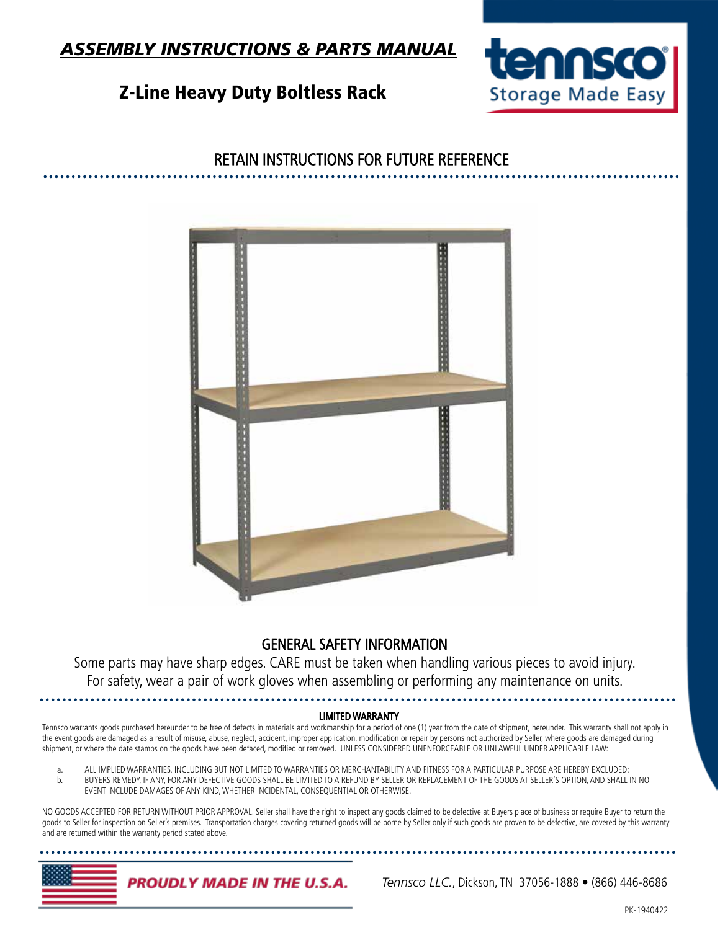

## Z-Line Heavy Duty Boltless Rack



## RETAIN INSTRUCTIONS FOR FUTURE REFERENCE



### GENERAL SAFETY INFORMATION

Some parts may have sharp edges. CARE must be taken when handling various pieces to avoid injury. For safety, wear a pair of work gloves when assembling or performing any maintenance on units.

#### LIMITED WARRANTY

Tennsco warrants goods purchased hereunder to be free of defects in materials and workmanship for a period of one (1) year from the date of shipment, hereunder. This warranty shall not apply in the event goods are damaged as a result of misuse, abuse, neglect, accident, improper application, modification or repair by persons not authorized by Seller, where goods are damaged during shipment, or where the date stamps on the goods have been defaced, modified or removed. UNLESS CONSIDERED UNENFORCEABLE OR UNLAWFUL UNDER APPLICABLE LAW:

 a. ALL IMPLIED WARRANTIES, INCLUDING BUT NOT LIMITED TO WARRANTIES OR MERCHANTABILITY AND FITNESS FOR A PARTICULAR PURPOSE ARE HEREBY EXCLUDED: b. BUYERS REMEDY, IF ANY, FOR ANY DEFECTIVE GOODS SHALL BE LIMITED TO A REFUND BY SELLER OR REPLACEMENT OF THE GOODS AT SELLER'S OPTION, AND SHALL IN NO EVENT INCLUDE DAMAGES OF ANY KIND, WHETHER INCIDENTAL, CONSEQUENTIAL OR OTHERWISE.

NO GOODS ACCEPTED FOR RETURN WITHOUT PRIOR APPROVAL. Seller shall have the right to inspect any goods claimed to be defective at Buyers place of business or require Buyer to return the goods to Seller for inspection on Seller's premises. Transportation charges covering returned goods will be borne by Seller only if such goods are proven to be defective, are covered by this warranty and are returned within the warranty period stated above.

**PROUDLY MADE IN THE U.S.A.** 

 *Tennsco LLC.*, Dickson, TN 37056-1888 • (866) 446-8686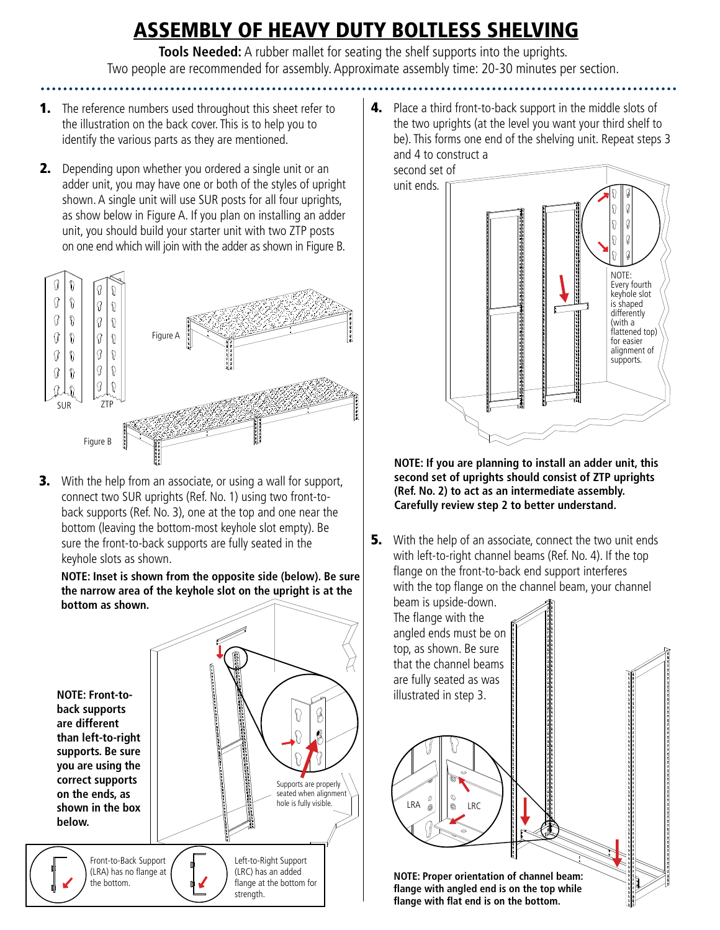# ASSEMBLY OF HEAVY DUTY BOLTLESS SHELVING

**Tools Needed:** A rubber mallet for seating the shelf supports into the uprights. Two people are recommended for assembly. Approximate assembly time: 20-30 minutes per section.

- **1.** The reference numbers used throughout this sheet refer to the illustration on the back cover. This is to help you to identify the various parts as they are mentioned.
- **2.** Depending upon whether you ordered a single unit or an adder unit, you may have one or both of the styles of upright shown. A single unit will use SUR posts for all four uprights, as show below in Figure A. If you plan on installing an adder unit, you should build your starter unit with two ZTP posts on one end which will join with the adder as shown in Figure B.



**3.** With the help from an associate, or using a wall for support, connect two SUR uprights (Ref. No. 1) using two front-toback supports (Ref. No. 3), one at the top and one near the bottom (leaving the bottom-most keyhole slot empty). Be sure the front-to-back supports are fully seated in the keyhole slots as shown.

### **NOTE: Inset is shown from the opposite side (below). Be sure the narrow area of the keyhole slot on the upright is at the bottom as shown.**



4. Place a third front-to-back support in the middle slots of the two uprights (at the level you want your third shelf to be). This forms one end of the shelving unit. Repeat steps 3 and 4 to construct a



**NOTE: If you are planning to install an adder unit, this second set of uprights should consist of ZTP uprights (Ref. No. 2) to act as an intermediate assembly. Carefully review step 2 to better understand.**

**5.** With the help of an associate, connect the two unit ends with left-to-right channel beams (Ref. No. 4). If the top flange on the front-to-back end support interferes with the top flange on the channel beam, your channel

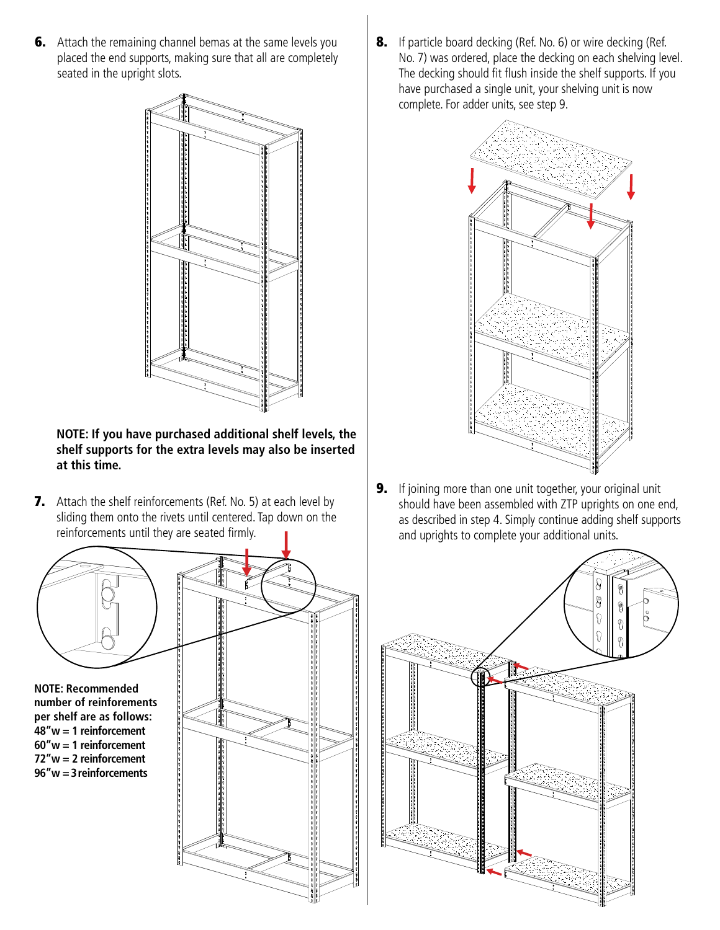**6.** Attach the remaining channel bemas at the same levels you placed the end supports, making sure that all are completely seated in the upright slots.



### **NOTE: If you have purchased additional shelf levels, the shelf supports for the extra levels may also be inserted at this time.**

**7.** Attach the shelf reinforcements (Ref. No. 5) at each level by sliding them onto the rivets until centered. Tap down on the reinforcements until they are seated firmly.



**number of reinforements per shelf are as follows: 48"w = 1 reinforcement 60"w = 1 reinforcement 72"w = 2 reinforcement 96"w = 3 reinforcements**



8. If particle board decking (Ref. No. 6) or wire decking (Ref. No. 7) was ordered, place the decking on each shelving level. The decking should fit flush inside the shelf supports. If you have purchased a single unit, your shelving unit is now complete. For adder units, see step 9.



**9.** If joining more than one unit together, your original unit should have been assembled with ZTP uprights on one end, as described in step 4. Simply continue adding shelf supports and uprights to complete your additional units.